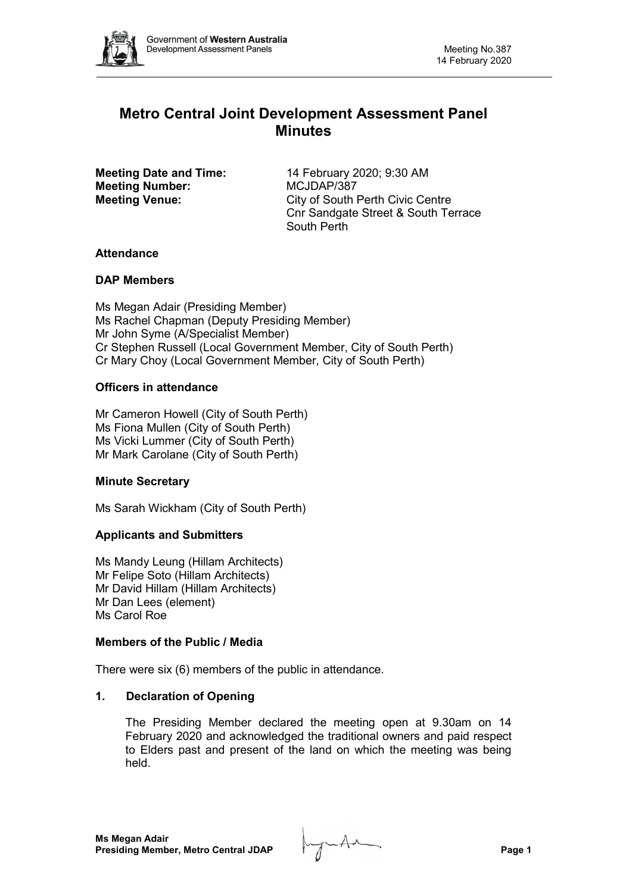

# **Metro Central Joint Development Assessment Panel Minutes**

**Meeting Number:** MCJDAP/387

**Meeting Date and Time:** 14 February 2020; 9:30 AM **Meeting Venue:** City of South Perth Civic Centre Cnr Sandgate Street & South Terrace South Perth

## **Attendance**

## **DAP Members**

Ms Megan Adair (Presiding Member) Ms Rachel Chapman (Deputy Presiding Member) Mr John Syme (A/Specialist Member) Cr Stephen Russell (Local Government Member, City of South Perth) Cr Mary Choy (Local Government Member, City of South Perth)

## **Officers in attendance**

Mr Cameron Howell (City of South Perth) Ms Fiona Mullen (City of South Perth) Ms Vicki Lummer (City of South Perth) Mr Mark Carolane (City of South Perth)

## **Minute Secretary**

Ms Sarah Wickham (City of South Perth)

## **Applicants and Submitters**

Ms Mandy Leung (Hillam Architects) Mr Felipe Soto (Hillam Architects) Mr David Hillam (Hillam Architects) Mr Dan Lees (element) Ms Carol Roe

## **Members of the Public / Media**

There were six (6) members of the public in attendance.

## **1. Declaration of Opening**

The Presiding Member declared the meeting open at 9.30am on 14 February 2020 and acknowledged the traditional owners and paid respect to Elders past and present of the land on which the meeting was being held.

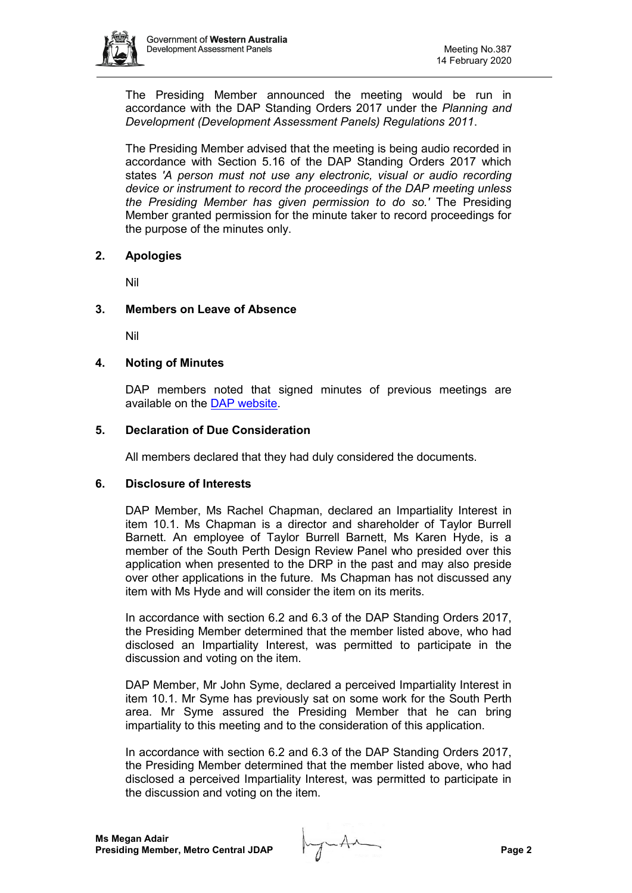The Presiding Member announced the meeting would be run in accordance with the DAP Standing Orders 2017 under the *Planning and Development (Development Assessment Panels) Regulations 2011*.

The Presiding Member advised that the meeting is being audio recorded in accordance with Section 5.16 of the DAP Standing Orders 2017 which states *'A person must not use any electronic, visual or audio recording device or instrument to record the proceedings of the DAP meeting unless the Presiding Member has given permission to do so.'* The Presiding Member granted permission for the minute taker to record proceedings for the purpose of the minutes only.

## **2. Apologies**

Nil

## **3. Members on Leave of Absence**

Nil

## **4. Noting of Minutes**

DAP members noted that signed minutes of previous meetings are available on the [DAP website.](https://www.dplh.wa.gov.au/about/development-assessment-panels/daps-agendas-and-minutes)

## **5. Declaration of Due Consideration**

All members declared that they had duly considered the documents.

## **6. Disclosure of Interests**

DAP Member, Ms Rachel Chapman, declared an Impartiality Interest in item 10.1. Ms Chapman is a director and shareholder of Taylor Burrell Barnett. An employee of Taylor Burrell Barnett, Ms Karen Hyde, is a member of the South Perth Design Review Panel who presided over this application when presented to the DRP in the past and may also preside over other applications in the future. Ms Chapman has not discussed any item with Ms Hyde and will consider the item on its merits.

In accordance with section 6.2 and 6.3 of the DAP Standing Orders 2017, the Presiding Member determined that the member listed above, who had disclosed an Impartiality Interest, was permitted to participate in the discussion and voting on the item.

DAP Member, Mr John Syme, declared a perceived Impartiality Interest in item 10.1. Mr Syme has previously sat on some work for the South Perth area. Mr Syme assured the Presiding Member that he can bring impartiality to this meeting and to the consideration of this application.

In accordance with section 6.2 and 6.3 of the DAP Standing Orders 2017, the Presiding Member determined that the member listed above, who had disclosed a perceived Impartiality Interest, was permitted to participate in the discussion and voting on the item.

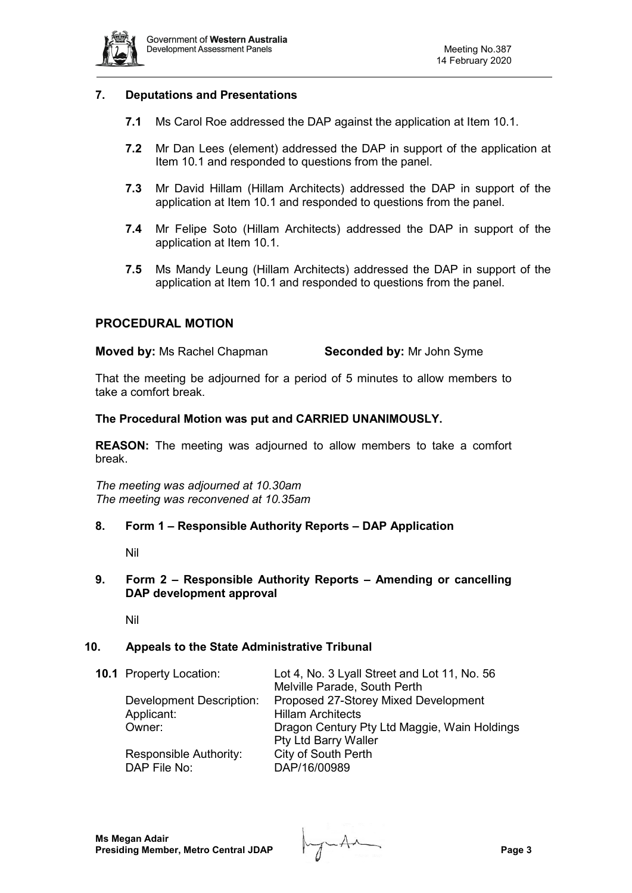

## **7. Deputations and Presentations**

- **7.1** Ms Carol Roe addressed the DAP against the application at Item 10.1.
- **7.2** Mr Dan Lees (element) addressed the DAP in support of the application at Item 10.1 and responded to questions from the panel.
- **7.3** Mr David Hillam (Hillam Architects) addressed the DAP in support of the application at Item 10.1 and responded to questions from the panel.
- **7.4** Mr Felipe Soto (Hillam Architects) addressed the DAP in support of the application at Item 10.1.
- **7.5** Ms Mandy Leung (Hillam Architects) addressed the DAP in support of the application at Item 10.1 and responded to questions from the panel.

## **PROCEDURAL MOTION**

**Moved by:** Ms Rachel Chapman **Seconded by:** Mr John Syme

That the meeting be adjourned for a period of 5 minutes to allow members to take a comfort break.

#### **The Procedural Motion was put and CARRIED UNANIMOUSLY.**

**REASON:** The meeting was adjourned to allow members to take a comfort break.

*The meeting was adjourned at 10.30am The meeting was reconvened at 10.35am*

#### **8. Form 1 – Responsible Authority Reports – DAP Application**

Nil

## **9. Form 2 – Responsible Authority Reports – Amending or cancelling DAP development approval**

Nil

## **10. Appeals to the State Administrative Tribunal**

| <b>10.1 Property Location:</b> | Lot 4, No. 3 Lyall Street and Lot 11, No. 56 |
|--------------------------------|----------------------------------------------|
|                                | Melville Parade, South Perth                 |
| Development Description:       | Proposed 27-Storey Mixed Development         |
| Applicant:                     | <b>Hillam Architects</b>                     |
| Owner:                         | Dragon Century Pty Ltd Maggie, Wain Holdings |
|                                | Pty Ltd Barry Waller                         |
| Responsible Authority:         | City of South Perth                          |
| DAP File No:                   | DAP/16/00989                                 |

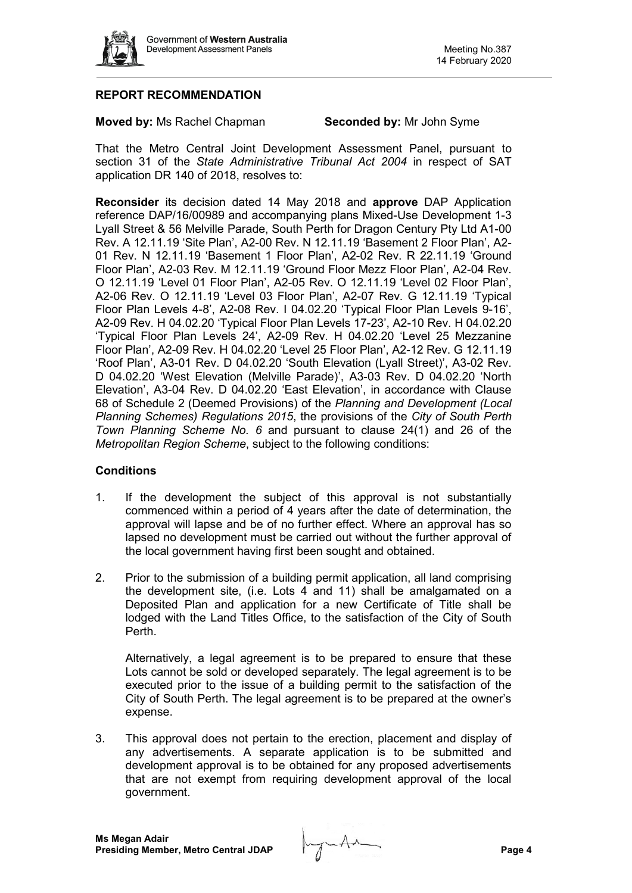

## **REPORT RECOMMENDATION**

#### **Moved by: Ms Rachel Chapman <b>Seconded by:** Mr John Syme

That the Metro Central Joint Development Assessment Panel, pursuant to section 31 of the *State Administrative Tribunal Act 2004* in respect of SAT application DR 140 of 2018, resolves to:

**Reconsider** its decision dated 14 May 2018 and **approve** DAP Application reference DAP/16/00989 and accompanying plans Mixed-Use Development 1-3 Lyall Street & 56 Melville Parade, South Perth for Dragon Century Pty Ltd A1-00 Rev. A 12.11.19 'Site Plan', A2-00 Rev. N 12.11.19 'Basement 2 Floor Plan', A2- 01 Rev. N 12.11.19 'Basement 1 Floor Plan', A2-02 Rev. R 22.11.19 'Ground Floor Plan', A2-03 Rev. M 12.11.19 'Ground Floor Mezz Floor Plan', A2-04 Rev. O 12.11.19 'Level 01 Floor Plan', A2-05 Rev. O 12.11.19 'Level 02 Floor Plan', A2-06 Rev. O 12.11.19 'Level 03 Floor Plan', A2-07 Rev. G 12.11.19 'Typical Floor Plan Levels 4-8', A2-08 Rev. I 04.02.20 'Typical Floor Plan Levels 9-16', A2-09 Rev. H 04.02.20 'Typical Floor Plan Levels 17-23', A2-10 Rev. H 04.02.20 'Typical Floor Plan Levels 24', A2-09 Rev. H 04.02.20 'Level 25 Mezzanine Floor Plan', A2-09 Rev. H 04.02.20 'Level 25 Floor Plan', A2-12 Rev. G 12.11.19 'Roof Plan', A3-01 Rev. D 04.02.20 'South Elevation (Lyall Street)', A3-02 Rev. D 04.02.20 'West Elevation (Melville Parade)', A3-03 Rev. D 04.02.20 'North Elevation', A3-04 Rev. D 04.02.20 'East Elevation', in accordance with Clause 68 of Schedule 2 (Deemed Provisions) of the *Planning and Development (Local Planning Schemes) Regulations 2015*, the provisions of the *City of South Perth Town Planning Scheme No. 6* and pursuant to clause 24(1) and 26 of the *Metropolitan Region Scheme*, subject to the following conditions:

## **Conditions**

- 1. If the development the subject of this approval is not substantially commenced within a period of 4 years after the date of determination, the approval will lapse and be of no further effect. Where an approval has so lapsed no development must be carried out without the further approval of the local government having first been sought and obtained.
- 2. Prior to the submission of a building permit application, all land comprising the development site, (i.e. Lots 4 and 11) shall be amalgamated on a Deposited Plan and application for a new Certificate of Title shall be lodged with the Land Titles Office, to the satisfaction of the City of South Perth.

Alternatively, a legal agreement is to be prepared to ensure that these Lots cannot be sold or developed separately. The legal agreement is to be executed prior to the issue of a building permit to the satisfaction of the City of South Perth. The legal agreement is to be prepared at the owner's expense.

3. This approval does not pertain to the erection, placement and display of any advertisements. A separate application is to be submitted and development approval is to be obtained for any proposed advertisements that are not exempt from requiring development approval of the local government.

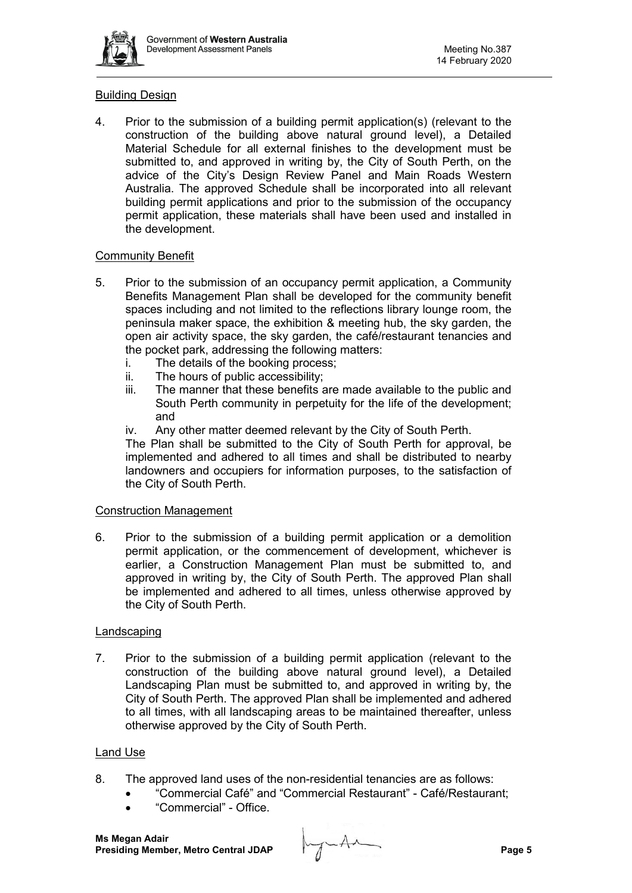

## Building Design

4. Prior to the submission of a building permit application(s) (relevant to the construction of the building above natural ground level), a Detailed Material Schedule for all external finishes to the development must be submitted to, and approved in writing by, the City of South Perth, on the advice of the City's Design Review Panel and Main Roads Western Australia. The approved Schedule shall be incorporated into all relevant building permit applications and prior to the submission of the occupancy permit application, these materials shall have been used and installed in the development.

#### Community Benefit

- 5. Prior to the submission of an occupancy permit application, a Community Benefits Management Plan shall be developed for the community benefit spaces including and not limited to the reflections library lounge room, the peninsula maker space, the exhibition & meeting hub, the sky garden, the open air activity space, the sky garden, the café/restaurant tenancies and the pocket park, addressing the following matters:
	- i. The details of the booking process;
	- ii. The hours of public accessibility;
	- iii. The manner that these benefits are made available to the public and South Perth community in perpetuity for the life of the development; and
	- iv. Any other matter deemed relevant by the City of South Perth.

The Plan shall be submitted to the City of South Perth for approval, be implemented and adhered to all times and shall be distributed to nearby landowners and occupiers for information purposes, to the satisfaction of the City of South Perth.

## Construction Management

6. Prior to the submission of a building permit application or a demolition permit application, or the commencement of development, whichever is earlier, a Construction Management Plan must be submitted to, and approved in writing by, the City of South Perth. The approved Plan shall be implemented and adhered to all times, unless otherwise approved by the City of South Perth.

## Landscaping

7. Prior to the submission of a building permit application (relevant to the construction of the building above natural ground level), a Detailed Landscaping Plan must be submitted to, and approved in writing by, the City of South Perth. The approved Plan shall be implemented and adhered to all times, with all landscaping areas to be maintained thereafter, unless otherwise approved by the City of South Perth.

#### Land Use

- 8. The approved land uses of the non-residential tenancies are as follows:
	- "Commercial Café" and "Commercial Restaurant" Café/Restaurant;
	- "Commercial" Office.

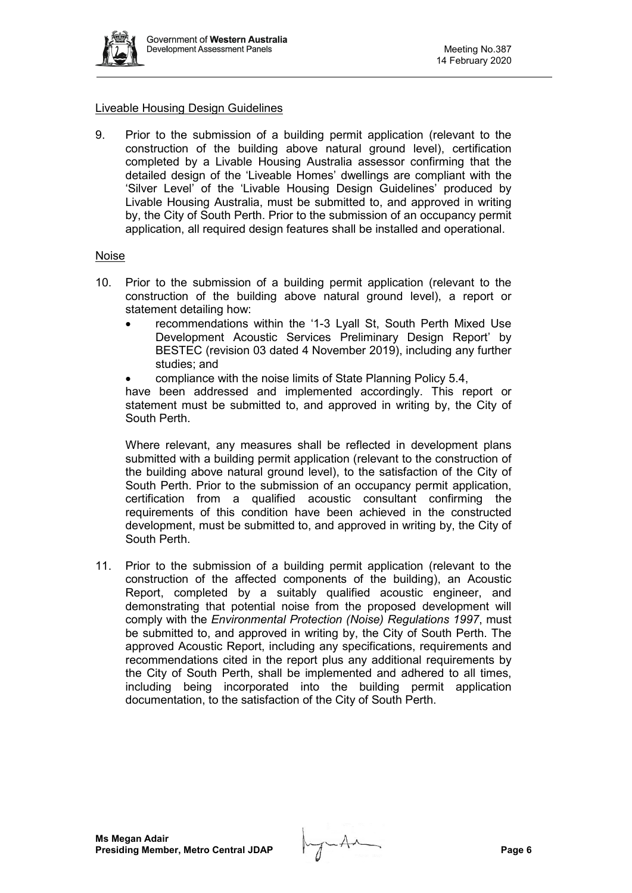

#### Liveable Housing Design Guidelines

9. Prior to the submission of a building permit application (relevant to the construction of the building above natural ground level), certification completed by a Livable Housing Australia assessor confirming that the detailed design of the 'Liveable Homes' dwellings are compliant with the 'Silver Level' of the 'Livable Housing Design Guidelines' produced by Livable Housing Australia, must be submitted to, and approved in writing by, the City of South Perth. Prior to the submission of an occupancy permit application, all required design features shall be installed and operational.

#### Noise

- 10. Prior to the submission of a building permit application (relevant to the construction of the building above natural ground level), a report or statement detailing how:
	- recommendations within the '1-3 Lyall St, South Perth Mixed Use Development Acoustic Services Preliminary Design Report' by BESTEC (revision 03 dated 4 November 2019), including any further studies; and
	- compliance with the noise limits of State Planning Policy 5.4,

have been addressed and implemented accordingly. This report or statement must be submitted to, and approved in writing by, the City of South Perth.

Where relevant, any measures shall be reflected in development plans submitted with a building permit application (relevant to the construction of the building above natural ground level), to the satisfaction of the City of South Perth. Prior to the submission of an occupancy permit application, certification from a qualified acoustic consultant confirming the requirements of this condition have been achieved in the constructed development, must be submitted to, and approved in writing by, the City of South Perth.

11. Prior to the submission of a building permit application (relevant to the construction of the affected components of the building), an Acoustic Report, completed by a suitably qualified acoustic engineer, and demonstrating that potential noise from the proposed development will comply with the *Environmental Protection (Noise) Regulations 1997*, must be submitted to, and approved in writing by, the City of South Perth. The approved Acoustic Report, including any specifications, requirements and recommendations cited in the report plus any additional requirements by the City of South Perth, shall be implemented and adhered to all times, including being incorporated into the building permit application documentation, to the satisfaction of the City of South Perth.

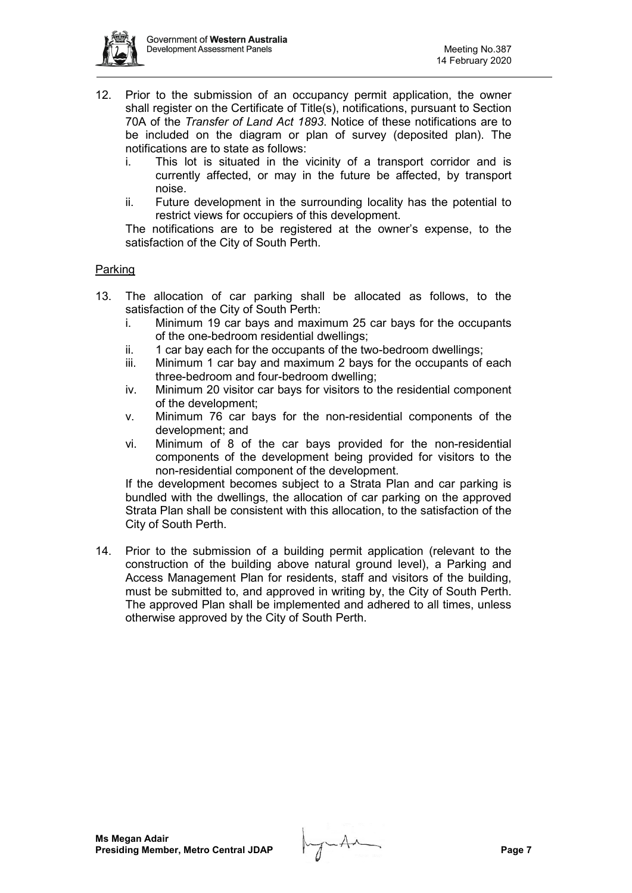

- 12. Prior to the submission of an occupancy permit application, the owner shall register on the Certificate of Title(s), notifications, pursuant to Section 70A of the *Transfer of Land Act 1893*. Notice of these notifications are to be included on the diagram or plan of survey (deposited plan). The notifications are to state as follows:
	- i. This lot is situated in the vicinity of a transport corridor and is currently affected, or may in the future be affected, by transport noise.
	- ii. Future development in the surrounding locality has the potential to restrict views for occupiers of this development.

The notifications are to be registered at the owner's expense, to the satisfaction of the City of South Perth.

#### Parking

- 13. The allocation of car parking shall be allocated as follows, to the satisfaction of the City of South Perth:
	- i. Minimum 19 car bays and maximum 25 car bays for the occupants of the one-bedroom residential dwellings;
	- ii. 1 car bay each for the occupants of the two-bedroom dwellings;
	- iii. Minimum 1 car bay and maximum 2 bays for the occupants of each three-bedroom and four-bedroom dwelling;
	- iv. Minimum 20 visitor car bays for visitors to the residential component of the development;
	- v. Minimum 76 car bays for the non-residential components of the development; and
	- vi. Minimum of 8 of the car bays provided for the non-residential components of the development being provided for visitors to the non-residential component of the development.

If the development becomes subject to a Strata Plan and car parking is bundled with the dwellings, the allocation of car parking on the approved Strata Plan shall be consistent with this allocation, to the satisfaction of the City of South Perth.

14. Prior to the submission of a building permit application (relevant to the construction of the building above natural ground level), a Parking and Access Management Plan for residents, staff and visitors of the building, must be submitted to, and approved in writing by, the City of South Perth. The approved Plan shall be implemented and adhered to all times, unless otherwise approved by the City of South Perth.

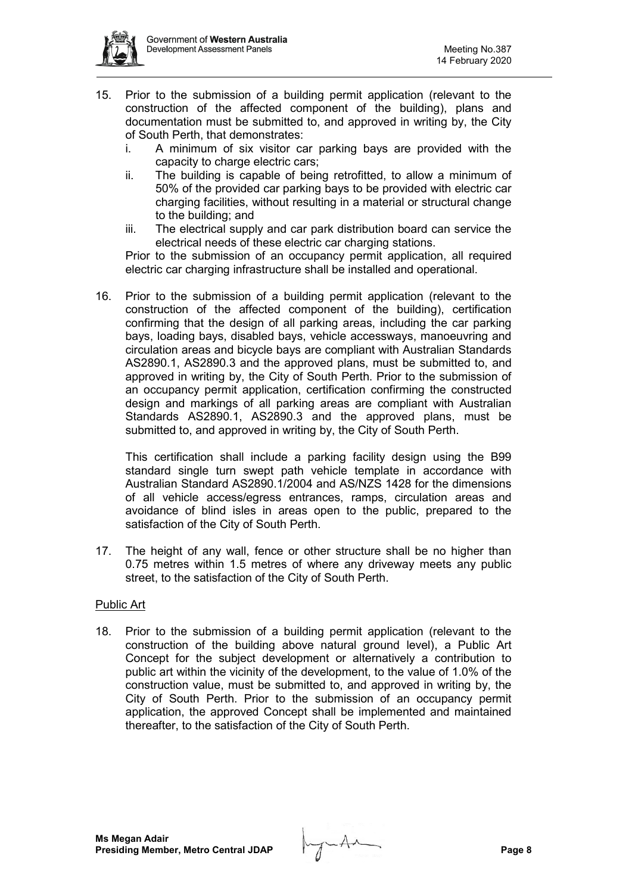

- 15. Prior to the submission of a building permit application (relevant to the construction of the affected component of the building), plans and documentation must be submitted to, and approved in writing by, the City of South Perth, that demonstrates:
	- i. A minimum of six visitor car parking bays are provided with the capacity to charge electric cars;
	- ii. The building is capable of being retrofitted, to allow a minimum of 50% of the provided car parking bays to be provided with electric car charging facilities, without resulting in a material or structural change to the building; and
	- iii. The electrical supply and car park distribution board can service the electrical needs of these electric car charging stations.

Prior to the submission of an occupancy permit application, all required electric car charging infrastructure shall be installed and operational.

16. Prior to the submission of a building permit application (relevant to the construction of the affected component of the building), certification confirming that the design of all parking areas, including the car parking bays, loading bays, disabled bays, vehicle accessways, manoeuvring and circulation areas and bicycle bays are compliant with Australian Standards AS2890.1, AS2890.3 and the approved plans, must be submitted to, and approved in writing by, the City of South Perth. Prior to the submission of an occupancy permit application, certification confirming the constructed design and markings of all parking areas are compliant with Australian Standards AS2890.1, AS2890.3 and the approved plans, must be submitted to, and approved in writing by, the City of South Perth.

This certification shall include a parking facility design using the B99 standard single turn swept path vehicle template in accordance with Australian Standard AS2890.1/2004 and AS/NZS 1428 for the dimensions of all vehicle access/egress entrances, ramps, circulation areas and avoidance of blind isles in areas open to the public, prepared to the satisfaction of the City of South Perth.

17. The height of any wall, fence or other structure shall be no higher than 0.75 metres within 1.5 metres of where any driveway meets any public street, to the satisfaction of the City of South Perth.

## Public Art

18. Prior to the submission of a building permit application (relevant to the construction of the building above natural ground level), a Public Art Concept for the subject development or alternatively a contribution to public art within the vicinity of the development, to the value of 1.0% of the construction value, must be submitted to, and approved in writing by, the City of South Perth. Prior to the submission of an occupancy permit application, the approved Concept shall be implemented and maintained thereafter, to the satisfaction of the City of South Perth.

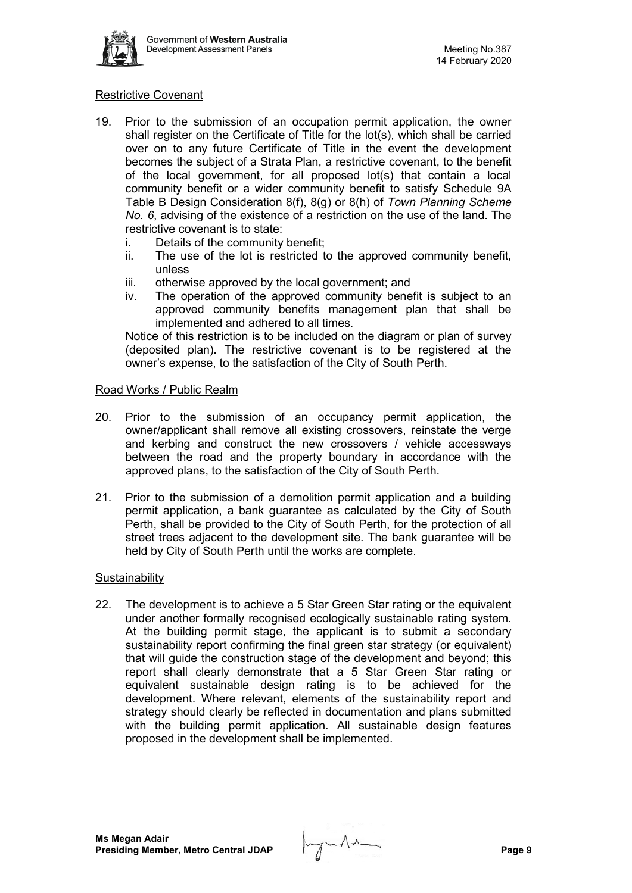

#### Restrictive Covenant

- 19. Prior to the submission of an occupation permit application, the owner shall register on the Certificate of Title for the lot(s), which shall be carried over on to any future Certificate of Title in the event the development becomes the subject of a Strata Plan, a restrictive covenant, to the benefit of the local government, for all proposed lot(s) that contain a local community benefit or a wider community benefit to satisfy Schedule 9A Table B Design Consideration 8(f), 8(g) or 8(h) of *Town Planning Scheme No. 6*, advising of the existence of a restriction on the use of the land. The restrictive covenant is to state:
	- i. Details of the community benefit;
	- ii. The use of the lot is restricted to the approved community benefit, unless
	- iii. otherwise approved by the local government; and
	- iv. The operation of the approved community benefit is subject to an approved community benefits management plan that shall be implemented and adhered to all times.

Notice of this restriction is to be included on the diagram or plan of survey (deposited plan). The restrictive covenant is to be registered at the owner's expense, to the satisfaction of the City of South Perth.

#### Road Works / Public Realm

- 20. Prior to the submission of an occupancy permit application, the owner/applicant shall remove all existing crossovers, reinstate the verge and kerbing and construct the new crossovers / vehicle accessways between the road and the property boundary in accordance with the approved plans, to the satisfaction of the City of South Perth.
- 21. Prior to the submission of a demolition permit application and a building permit application, a bank guarantee as calculated by the City of South Perth, shall be provided to the City of South Perth, for the protection of all street trees adjacent to the development site. The bank guarantee will be held by City of South Perth until the works are complete.

#### **Sustainability**

22. The development is to achieve a 5 Star Green Star rating or the equivalent under another formally recognised ecologically sustainable rating system. At the building permit stage, the applicant is to submit a secondary sustainability report confirming the final green star strategy (or equivalent) that will guide the construction stage of the development and beyond; this report shall clearly demonstrate that a 5 Star Green Star rating or equivalent sustainable design rating is to be achieved for the development. Where relevant, elements of the sustainability report and strategy should clearly be reflected in documentation and plans submitted with the building permit application. All sustainable design features proposed in the development shall be implemented.

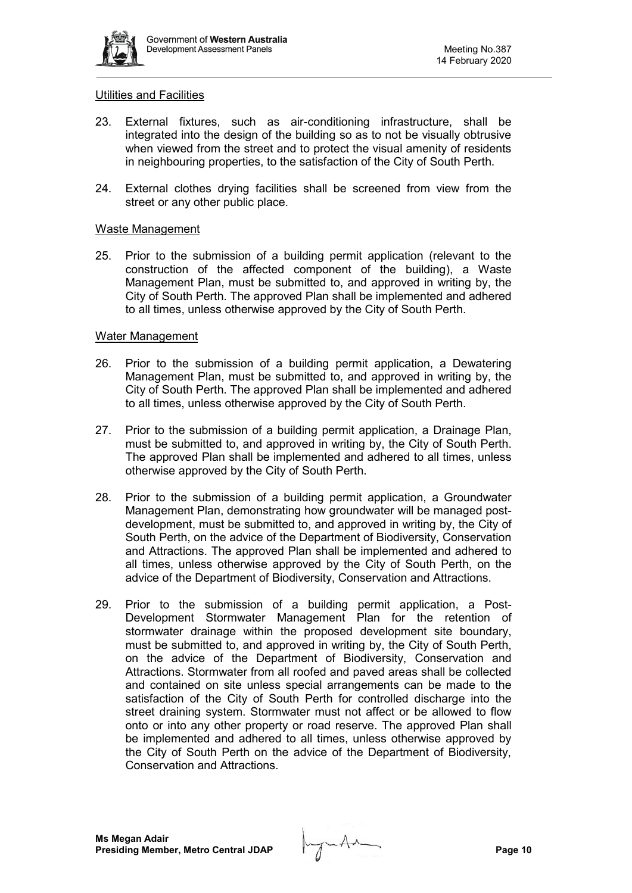

#### Utilities and Facilities

- 23. External fixtures, such as air-conditioning infrastructure, shall be integrated into the design of the building so as to not be visually obtrusive when viewed from the street and to protect the visual amenity of residents in neighbouring properties, to the satisfaction of the City of South Perth.
- 24. External clothes drying facilities shall be screened from view from the street or any other public place.

#### Waste Management

25. Prior to the submission of a building permit application (relevant to the construction of the affected component of the building), a Waste Management Plan, must be submitted to, and approved in writing by, the City of South Perth. The approved Plan shall be implemented and adhered to all times, unless otherwise approved by the City of South Perth.

#### Water Management

- 26. Prior to the submission of a building permit application, a Dewatering Management Plan, must be submitted to, and approved in writing by, the City of South Perth. The approved Plan shall be implemented and adhered to all times, unless otherwise approved by the City of South Perth.
- 27. Prior to the submission of a building permit application, a Drainage Plan, must be submitted to, and approved in writing by, the City of South Perth. The approved Plan shall be implemented and adhered to all times, unless otherwise approved by the City of South Perth.
- 28. Prior to the submission of a building permit application, a Groundwater Management Plan, demonstrating how groundwater will be managed postdevelopment, must be submitted to, and approved in writing by, the City of South Perth, on the advice of the Department of Biodiversity, Conservation and Attractions. The approved Plan shall be implemented and adhered to all times, unless otherwise approved by the City of South Perth, on the advice of the Department of Biodiversity, Conservation and Attractions.
- 29. Prior to the submission of a building permit application, a Post-Development Stormwater Management Plan for the retention of stormwater drainage within the proposed development site boundary, must be submitted to, and approved in writing by, the City of South Perth, on the advice of the Department of Biodiversity, Conservation and Attractions. Stormwater from all roofed and paved areas shall be collected and contained on site unless special arrangements can be made to the satisfaction of the City of South Perth for controlled discharge into the street draining system. Stormwater must not affect or be allowed to flow onto or into any other property or road reserve. The approved Plan shall be implemented and adhered to all times, unless otherwise approved by the City of South Perth on the advice of the Department of Biodiversity, Conservation and Attractions.

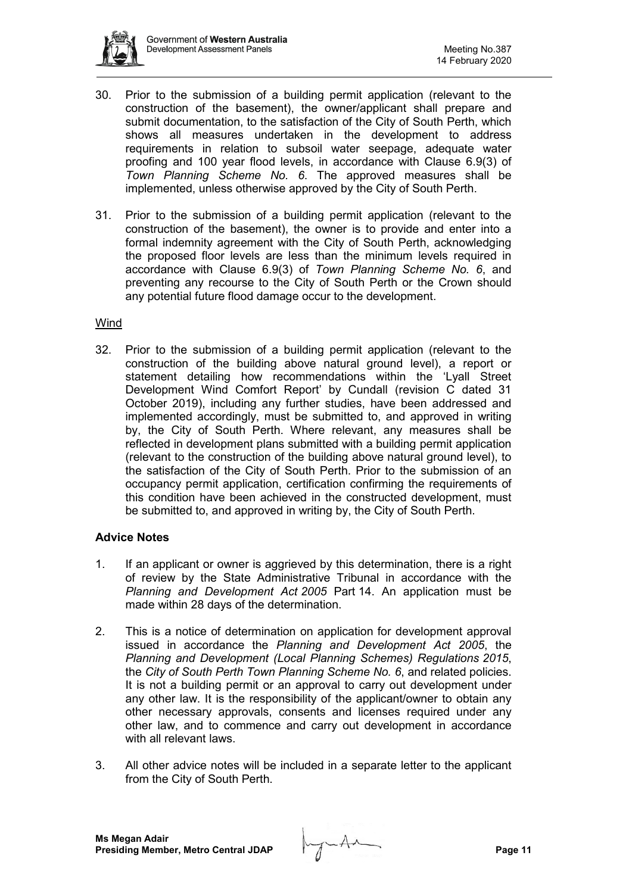

- 30. Prior to the submission of a building permit application (relevant to the construction of the basement), the owner/applicant shall prepare and submit documentation, to the satisfaction of the City of South Perth, which shows all measures undertaken in the development to address requirements in relation to subsoil water seepage, adequate water proofing and 100 year flood levels, in accordance with Clause 6.9(3) of *Town Planning Scheme No. 6*. The approved measures shall be implemented, unless otherwise approved by the City of South Perth.
- 31. Prior to the submission of a building permit application (relevant to the construction of the basement), the owner is to provide and enter into a formal indemnity agreement with the City of South Perth, acknowledging the proposed floor levels are less than the minimum levels required in accordance with Clause 6.9(3) of *Town Planning Scheme No. 6*, and preventing any recourse to the City of South Perth or the Crown should any potential future flood damage occur to the development.

#### Wind

32. Prior to the submission of a building permit application (relevant to the construction of the building above natural ground level), a report or statement detailing how recommendations within the 'Lyall Street Development Wind Comfort Report' by Cundall (revision C dated 31 October 2019), including any further studies, have been addressed and implemented accordingly, must be submitted to, and approved in writing by, the City of South Perth. Where relevant, any measures shall be reflected in development plans submitted with a building permit application (relevant to the construction of the building above natural ground level), to the satisfaction of the City of South Perth. Prior to the submission of an occupancy permit application, certification confirming the requirements of this condition have been achieved in the constructed development, must be submitted to, and approved in writing by, the City of South Perth.

## **Advice Notes**

- 1. If an applicant or owner is aggrieved by this determination, there is a right of review by the State Administrative Tribunal in accordance with the *Planning and Development Act 2005* Part 14. An application must be made within 28 days of the determination.
- 2. This is a notice of determination on application for development approval issued in accordance the *Planning and Development Act 2005*, the *Planning and Development (Local Planning Schemes) Regulations 2015*, the *City of South Perth Town Planning Scheme No. 6*, and related policies. It is not a building permit or an approval to carry out development under any other law. It is the responsibility of the applicant/owner to obtain any other necessary approvals, consents and licenses required under any other law, and to commence and carry out development in accordance with all relevant laws.
- 3. All other advice notes will be included in a separate letter to the applicant from the City of South Perth.